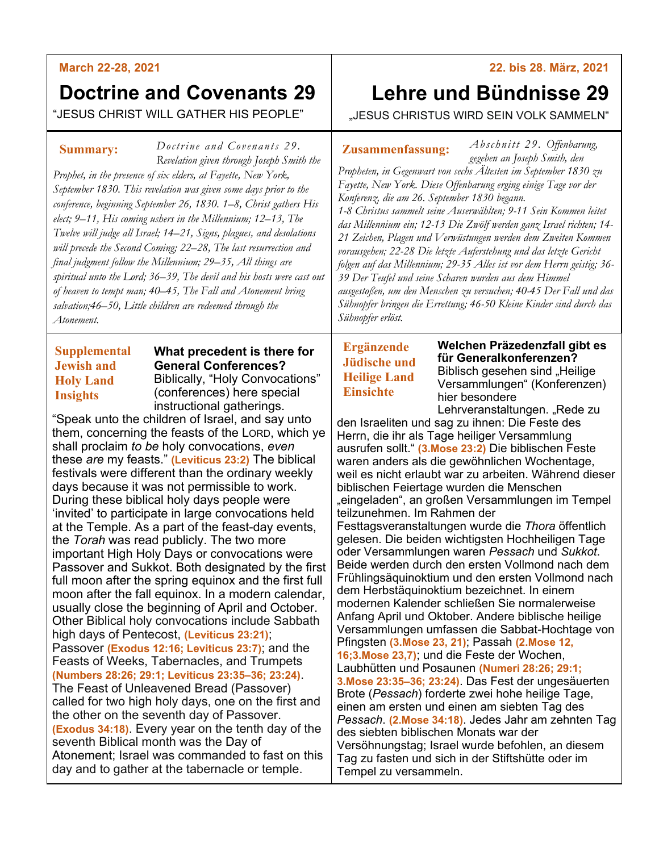#### **March 22-28, 2021**

# **Doctrine and Covenants 29**

"JESUS CHRIST WILL GATHER HIS PEOPLE"

#### **Summary:**

*Doctrine and Covenants 29 Revelation given through Joseph Smith the* 

*Prophet, in the presence of six elders, at Fayette, New York, September 1830. This revelation was given some days prior to the conference, beginning September 26, 1830. 1–8, Christ gathers His elect; 9–11, His coming ushers in the Millennium; 12–13, The Twelve will judge all Israel; 14–21, Signs, plagues, and desolations will precede the Second Coming; 22–28, The last resurrection and final judgment follow the Millennium; 29–35, All things are spiritual unto the Lord; 36–39, The devil and his hosts were cast out of heaven to tempt man; 40–45, The Fall and Atonement bring salvation;46–50, Little children are redeemed through the Atonement.*

# **Supplemental Jewish and Holy Land Insights**

**What precedent is there for General Conferences?** Biblically, "Holy Convocations" (conferences) here special instructional gatherings.

"Speak unto the children of Israel, and say unto them, concerning the feasts of the LORD, which ye shall proclaim *to be* holy convocations, *even* these *are* my feasts." **(Leviticus 23:2)** The biblical festivals were different than the ordinary weekly days because it was not permissible to work. During these biblical holy days people were 'invited' to participate in large convocations held at the Temple. As a part of the feast-day events, the *Torah* was read publicly. The two more important High Holy Days or convocations were Passover and Sukkot. Both designated by the first full moon after the spring equinox and the first full moon after the fall equinox. In a modern calendar, usually close the beginning of April and October. Other Biblical holy convocations include Sabbath high days of Pentecost, **(Leviticus 23:21)**; Passover **(Exodus 12:16; Leviticus 23:7)**; and the Feasts of Weeks, Tabernacles, and Trumpets **(Numbers 28:26; 29:1; Leviticus 23:35–36; 23:24)**. The Feast of Unleavened Bread (Passover) called for two high holy days, one on the first and the other on the seventh day of Passover. **(Exodus 34:18)**. Every year on the tenth day of the seventh Biblical month was the Day of Atonement; Israel was commanded to fast on this day and to gather at the tabernacle or temple.

#### **22. bis 28. März, 2021**

# **Lehre und Bündnisse 29**

"JESUS CHRISTUS WIRD SEIN VOLK SAMMELN"

**Zusammenfassung:**

*Ab sc hnitt 29. Offenbarung, gegeben an Joseph Smith, den* 

*Propheten, in Gegenwart von sechs Ältesten im September 1830 zu Fayette, New York. Diese Offenbarung erging einige Tage vor der Konferenz, die am 26. September 1830 begann. 1-8 Christus sammelt seine Auserwählten; 9-11 Sein Kommen leitet das Millennium ein; 12-13 Die Zwölf werden ganz Israel richten; 14- 21 Zeichen, Plagen und Verwüstungen werden dem Zweiten Kommen vorausgehen; 22-28 Die letzte Auferstehung und das letzte Gericht folgen auf das Millennium; 29-35 Alles ist vor dem Herrn geistig; 36- 39 Der Teufel und seine Scharen wurden aus dem Himmel ausgestoßen, um den Menschen zu versuchen; 40-45 Der Fall und das Sühnopfer bringen die Errettung; 46-50 Kleine Kinder sind durch das Sühnopfer erlöst.*

# **Ergänzende Jüdische und Heilige Land Einsichte**

**Welchen Präzedenzfall gibt es für Generalkonferenzen?** Biblisch gesehen sind "Heilige Versammlungen" (Konferenzen) hier besondere

Lehrveranstaltungen. "Rede zu den Israeliten und sag zu ihnen: Die Feste des Herrn, die ihr als Tage heiliger Versammlung ausrufen sollt." **(3.Mose 23:2)** Die biblischen Feste waren anders als die gewöhnlichen Wochentage, weil es nicht erlaubt war zu arbeiten. Während dieser biblischen Feiertage wurden die Menschen "eingeladen", an großen Versammlungen im Tempel teilzunehmen. Im Rahmen der Festtagsveranstaltungen wurde die *Thora* öffentlich gelesen. Die beiden wichtigsten Hochheiligen Tage oder Versammlungen waren *Pessach* und *Sukkot*. Beide werden durch den ersten Vollmond nach dem Frühlingsäquinoktium und den ersten Vollmond nach dem Herbstäquinoktium bezeichnet. In einem modernen Kalender schließen Sie normalerweise Anfang April und Oktober. Andere biblische heilige Versammlungen umfassen die Sabbat-Hochtage von Pfingsten **(3.Mose 23, 21)**; Passah **(2.Mose 12, 16;3.Mose 23,7)**; und die Feste der Wochen, Laubhütten und Posaunen **(Numeri 28:26; 29:1; 3.Mose 23:35–36; 23:24)**. Das Fest der ungesäuerten Brote (*Pessach*) forderte zwei hohe heilige Tage, einen am ersten und einen am siebten Tag des *Pessach*. **(2.Mose 34:18)**. Jedes Jahr am zehnten Tag des siebten biblischen Monats war der Versöhnungstag; Israel wurde befohlen, an diesem Tag zu fasten und sich in der Stiftshütte oder im Tempel zu versammeln.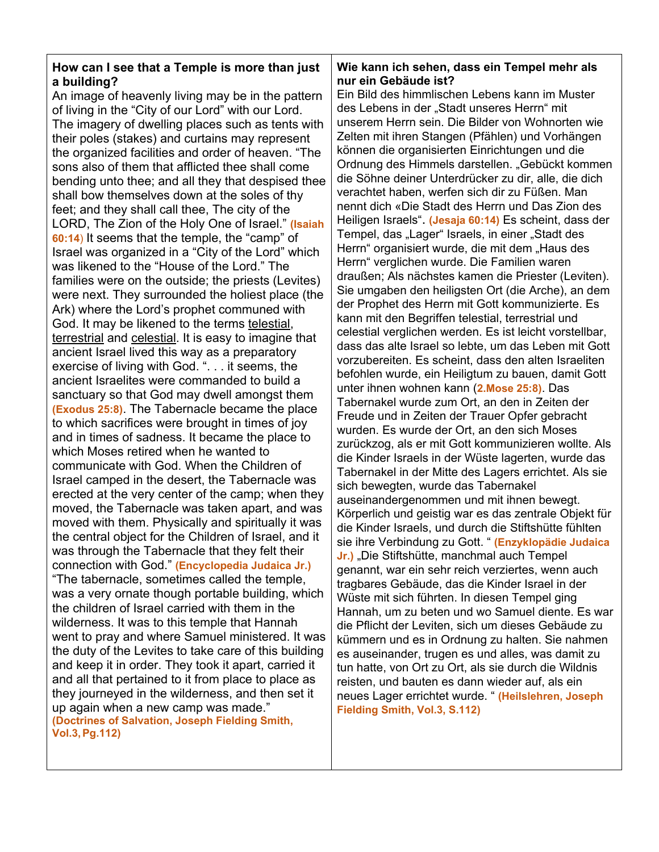### **How can I see that a Temple is more than just a building?**

An image of heavenly living may be in the pattern of living in the "City of our Lord" with our Lord. The imagery of dwelling places such as tents with their poles (stakes) and curtains may represent the organized facilities and order of heaven. "The sons also of them that afflicted thee shall come bending unto thee; and all they that despised thee shall bow themselves down at the soles of thy feet; and they shall call thee, The city of the LORD, The Zion of the Holy One of Israel." **(Isaiah 60:14**) It seems that the temple, the "camp" of Israel was organized in a "City of the Lord" which was likened to the "House of the Lord." The families were on the outside; the priests (Levites) were next. They surrounded the holiest place (the Ark) where the Lord's prophet communed with God. It may be likened to the terms telestial, terrestrial and celestial. It is easy to imagine that ancient Israel lived this way as a preparatory exercise of living with God. ". . . it seems, the ancient Israelites were commanded to build a sanctuary so that God may dwell amongst them **(Exodus 25:8)**. The Tabernacle became the place to which sacrifices were brought in times of joy and in times of sadness. It became the place to which Moses retired when he wanted to communicate with God. When the Children of Israel camped in the desert, the Tabernacle was erected at the very center of the camp; when they moved, the Tabernacle was taken apart, and was moved with them. Physically and spiritually it was the central object for the Children of Israel, and it was through the Tabernacle that they felt their connection with God." **(Encyclopedia Judaica Jr.)** "The tabernacle, sometimes called the temple, was a very ornate though portable building, which the children of Israel carried with them in the wilderness. It was to this temple that Hannah went to pray and where Samuel ministered. It was the duty of the Levites to take care of this building and keep it in order. They took it apart, carried it and all that pertained to it from place to place as they journeyed in the wilderness, and then set it up again when a new camp was made." **(Doctrines of Salvation, Joseph Fielding Smith, Vol.3,Pg.112)**

#### **Wie kann ich sehen, dass ein Tempel mehr als nur ein Gebäude ist?**

Ein Bild des himmlischen Lebens kann im Muster des Lebens in der "Stadt unseres Herrn" mit unserem Herrn sein. Die Bilder von Wohnorten wie Zelten mit ihren Stangen (Pfählen) und Vorhängen können die organisierten Einrichtungen und die Ordnung des Himmels darstellen. "Gebückt kommen die Söhne deiner Unterdrücker zu dir, alle, die dich verachtet haben, werfen sich dir zu Füßen. Man nennt dich «Die Stadt des Herrn und Das Zion des Heiligen Israels". **(Jesaja 60:14)** Es scheint, dass der Tempel, das "Lager" Israels, in einer "Stadt des Herrn" organisiert wurde, die mit dem "Haus des Herrn" verglichen wurde. Die Familien waren draußen; Als nächstes kamen die Priester (Leviten). Sie umgaben den heiligsten Ort (die Arche), an dem der Prophet des Herrn mit Gott kommunizierte. Es kann mit den Begriffen telestial, terrestrial und celestial verglichen werden. Es ist leicht vorstellbar, dass das alte Israel so lebte, um das Leben mit Gott vorzubereiten. Es scheint, dass den alten Israeliten befohlen wurde, ein Heiligtum zu bauen, damit Gott unter ihnen wohnen kann (**2.Mose 25:8)**. Das Tabernakel wurde zum Ort, an den in Zeiten der Freude und in Zeiten der Trauer Opfer gebracht wurden. Es wurde der Ort, an den sich Moses zurückzog, als er mit Gott kommunizieren wollte. Als die Kinder Israels in der Wüste lagerten, wurde das Tabernakel in der Mitte des Lagers errichtet. Als sie sich bewegten, wurde das Tabernakel auseinandergenommen und mit ihnen bewegt. Körperlich und geistig war es das zentrale Objekt für die Kinder Israels, und durch die Stiftshütte fühlten sie ihre Verbindung zu Gott. " **(Enzyklopädie Judaica Jr.)** "Die Stiftshütte, manchmal auch Tempel genannt, war ein sehr reich verziertes, wenn auch tragbares Gebäude, das die Kinder Israel in der Wüste mit sich führten. In diesen Tempel ging Hannah, um zu beten und wo Samuel diente. Es war die Pflicht der Leviten, sich um dieses Gebäude zu kümmern und es in Ordnung zu halten. Sie nahmen es auseinander, trugen es und alles, was damit zu tun hatte, von Ort zu Ort, als sie durch die Wildnis reisten, und bauten es dann wieder auf, als ein neues Lager errichtet wurde. " **(Heilslehren, Joseph Fielding Smith, Vol.3, S.112)**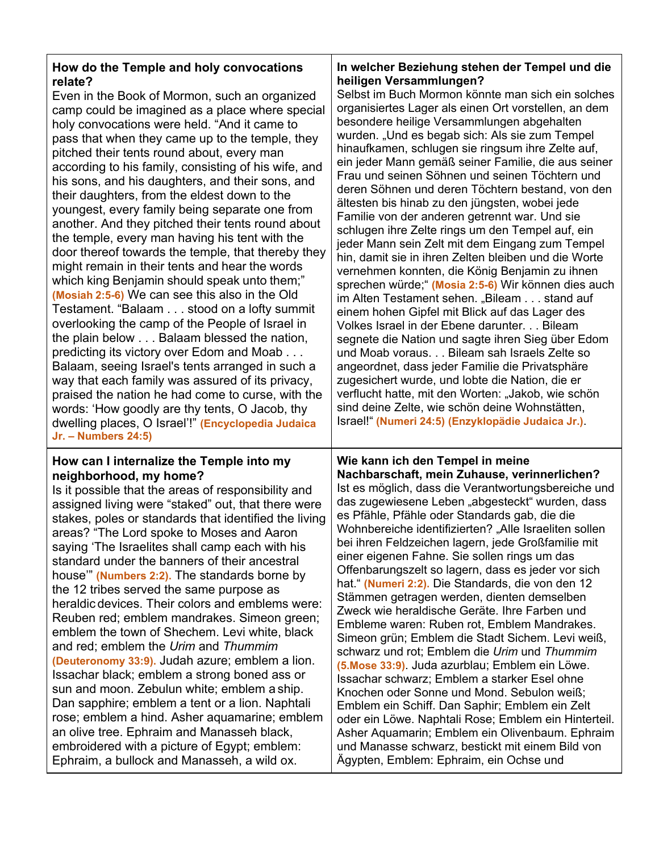| How do the Temple and holy convocations                                                                                                                                                                                                                                                                                                                                                                                                                                                                                                                                                                                                                                                                                                                                                                                                                                                                                                                                                                                                                                              | In welcher Beziehung stehen der Tempel und die                                                                                                                                                                                                                                                                                                                                                                                                                                                                                                                                                                                                                                                                                                                                                                                                                                                                                                                                                                                                                                                                                                                                       |
|--------------------------------------------------------------------------------------------------------------------------------------------------------------------------------------------------------------------------------------------------------------------------------------------------------------------------------------------------------------------------------------------------------------------------------------------------------------------------------------------------------------------------------------------------------------------------------------------------------------------------------------------------------------------------------------------------------------------------------------------------------------------------------------------------------------------------------------------------------------------------------------------------------------------------------------------------------------------------------------------------------------------------------------------------------------------------------------|--------------------------------------------------------------------------------------------------------------------------------------------------------------------------------------------------------------------------------------------------------------------------------------------------------------------------------------------------------------------------------------------------------------------------------------------------------------------------------------------------------------------------------------------------------------------------------------------------------------------------------------------------------------------------------------------------------------------------------------------------------------------------------------------------------------------------------------------------------------------------------------------------------------------------------------------------------------------------------------------------------------------------------------------------------------------------------------------------------------------------------------------------------------------------------------|
| relate?                                                                                                                                                                                                                                                                                                                                                                                                                                                                                                                                                                                                                                                                                                                                                                                                                                                                                                                                                                                                                                                                              | heiligen Versammlungen?                                                                                                                                                                                                                                                                                                                                                                                                                                                                                                                                                                                                                                                                                                                                                                                                                                                                                                                                                                                                                                                                                                                                                              |
| Even in the Book of Mormon, such an organized                                                                                                                                                                                                                                                                                                                                                                                                                                                                                                                                                                                                                                                                                                                                                                                                                                                                                                                                                                                                                                        | Selbst im Buch Mormon könnte man sich ein solches                                                                                                                                                                                                                                                                                                                                                                                                                                                                                                                                                                                                                                                                                                                                                                                                                                                                                                                                                                                                                                                                                                                                    |
| camp could be imagined as a place where special                                                                                                                                                                                                                                                                                                                                                                                                                                                                                                                                                                                                                                                                                                                                                                                                                                                                                                                                                                                                                                      | organisiertes Lager als einen Ort vorstellen, an dem                                                                                                                                                                                                                                                                                                                                                                                                                                                                                                                                                                                                                                                                                                                                                                                                                                                                                                                                                                                                                                                                                                                                 |
| holy convocations were held. "And it came to                                                                                                                                                                                                                                                                                                                                                                                                                                                                                                                                                                                                                                                                                                                                                                                                                                                                                                                                                                                                                                         | besondere heilige Versammlungen abgehalten                                                                                                                                                                                                                                                                                                                                                                                                                                                                                                                                                                                                                                                                                                                                                                                                                                                                                                                                                                                                                                                                                                                                           |
| pass that when they came up to the temple, they                                                                                                                                                                                                                                                                                                                                                                                                                                                                                                                                                                                                                                                                                                                                                                                                                                                                                                                                                                                                                                      | wurden. "Und es begab sich: Als sie zum Tempel                                                                                                                                                                                                                                                                                                                                                                                                                                                                                                                                                                                                                                                                                                                                                                                                                                                                                                                                                                                                                                                                                                                                       |
| pitched their tents round about, every man                                                                                                                                                                                                                                                                                                                                                                                                                                                                                                                                                                                                                                                                                                                                                                                                                                                                                                                                                                                                                                           | hinaufkamen, schlugen sie ringsum ihre Zelte auf,                                                                                                                                                                                                                                                                                                                                                                                                                                                                                                                                                                                                                                                                                                                                                                                                                                                                                                                                                                                                                                                                                                                                    |
| according to his family, consisting of his wife, and                                                                                                                                                                                                                                                                                                                                                                                                                                                                                                                                                                                                                                                                                                                                                                                                                                                                                                                                                                                                                                 | ein jeder Mann gemäß seiner Familie, die aus seiner                                                                                                                                                                                                                                                                                                                                                                                                                                                                                                                                                                                                                                                                                                                                                                                                                                                                                                                                                                                                                                                                                                                                  |
| his sons, and his daughters, and their sons, and                                                                                                                                                                                                                                                                                                                                                                                                                                                                                                                                                                                                                                                                                                                                                                                                                                                                                                                                                                                                                                     | Frau und seinen Söhnen und seinen Töchtern und                                                                                                                                                                                                                                                                                                                                                                                                                                                                                                                                                                                                                                                                                                                                                                                                                                                                                                                                                                                                                                                                                                                                       |
| their daughters, from the eldest down to the                                                                                                                                                                                                                                                                                                                                                                                                                                                                                                                                                                                                                                                                                                                                                                                                                                                                                                                                                                                                                                         | deren Söhnen und deren Töchtern bestand, von den                                                                                                                                                                                                                                                                                                                                                                                                                                                                                                                                                                                                                                                                                                                                                                                                                                                                                                                                                                                                                                                                                                                                     |
| youngest, every family being separate one from                                                                                                                                                                                                                                                                                                                                                                                                                                                                                                                                                                                                                                                                                                                                                                                                                                                                                                                                                                                                                                       | ältesten bis hinab zu den jüngsten, wobei jede                                                                                                                                                                                                                                                                                                                                                                                                                                                                                                                                                                                                                                                                                                                                                                                                                                                                                                                                                                                                                                                                                                                                       |
| another. And they pitched their tents round about                                                                                                                                                                                                                                                                                                                                                                                                                                                                                                                                                                                                                                                                                                                                                                                                                                                                                                                                                                                                                                    | Familie von der anderen getrennt war. Und sie                                                                                                                                                                                                                                                                                                                                                                                                                                                                                                                                                                                                                                                                                                                                                                                                                                                                                                                                                                                                                                                                                                                                        |
| the temple, every man having his tent with the                                                                                                                                                                                                                                                                                                                                                                                                                                                                                                                                                                                                                                                                                                                                                                                                                                                                                                                                                                                                                                       | schlugen ihre Zelte rings um den Tempel auf, ein                                                                                                                                                                                                                                                                                                                                                                                                                                                                                                                                                                                                                                                                                                                                                                                                                                                                                                                                                                                                                                                                                                                                     |
| door thereof towards the temple, that thereby they                                                                                                                                                                                                                                                                                                                                                                                                                                                                                                                                                                                                                                                                                                                                                                                                                                                                                                                                                                                                                                   | jeder Mann sein Zelt mit dem Eingang zum Tempel                                                                                                                                                                                                                                                                                                                                                                                                                                                                                                                                                                                                                                                                                                                                                                                                                                                                                                                                                                                                                                                                                                                                      |
| might remain in their tents and hear the words                                                                                                                                                                                                                                                                                                                                                                                                                                                                                                                                                                                                                                                                                                                                                                                                                                                                                                                                                                                                                                       | hin, damit sie in ihren Zelten bleiben und die Worte                                                                                                                                                                                                                                                                                                                                                                                                                                                                                                                                                                                                                                                                                                                                                                                                                                                                                                                                                                                                                                                                                                                                 |
| which king Benjamin should speak unto them;"                                                                                                                                                                                                                                                                                                                                                                                                                                                                                                                                                                                                                                                                                                                                                                                                                                                                                                                                                                                                                                         | vernehmen konnten, die König Benjamin zu ihnen                                                                                                                                                                                                                                                                                                                                                                                                                                                                                                                                                                                                                                                                                                                                                                                                                                                                                                                                                                                                                                                                                                                                       |
| (Mosiah 2:5-6) We can see this also in the Old                                                                                                                                                                                                                                                                                                                                                                                                                                                                                                                                                                                                                                                                                                                                                                                                                                                                                                                                                                                                                                       | sprechen würde;" (Mosia 2:5-6) Wir können dies auch                                                                                                                                                                                                                                                                                                                                                                                                                                                                                                                                                                                                                                                                                                                                                                                                                                                                                                                                                                                                                                                                                                                                  |
| Testament. "Balaam stood on a lofty summit                                                                                                                                                                                                                                                                                                                                                                                                                                                                                                                                                                                                                                                                                                                                                                                                                                                                                                                                                                                                                                           | im Alten Testament sehen. "Bileam stand auf                                                                                                                                                                                                                                                                                                                                                                                                                                                                                                                                                                                                                                                                                                                                                                                                                                                                                                                                                                                                                                                                                                                                          |
| overlooking the camp of the People of Israel in                                                                                                                                                                                                                                                                                                                                                                                                                                                                                                                                                                                                                                                                                                                                                                                                                                                                                                                                                                                                                                      | einem hohen Gipfel mit Blick auf das Lager des                                                                                                                                                                                                                                                                                                                                                                                                                                                                                                                                                                                                                                                                                                                                                                                                                                                                                                                                                                                                                                                                                                                                       |
| the plain below Balaam blessed the nation,                                                                                                                                                                                                                                                                                                                                                                                                                                                                                                                                                                                                                                                                                                                                                                                                                                                                                                                                                                                                                                           | Volkes Israel in der Ebene darunter Bileam                                                                                                                                                                                                                                                                                                                                                                                                                                                                                                                                                                                                                                                                                                                                                                                                                                                                                                                                                                                                                                                                                                                                           |
| predicting its victory over Edom and Moab                                                                                                                                                                                                                                                                                                                                                                                                                                                                                                                                                                                                                                                                                                                                                                                                                                                                                                                                                                                                                                            | segnete die Nation und sagte ihren Sieg über Edom                                                                                                                                                                                                                                                                                                                                                                                                                                                                                                                                                                                                                                                                                                                                                                                                                                                                                                                                                                                                                                                                                                                                    |
| Balaam, seeing Israel's tents arranged in such a                                                                                                                                                                                                                                                                                                                                                                                                                                                                                                                                                                                                                                                                                                                                                                                                                                                                                                                                                                                                                                     | und Moab voraus. Bileam sah Israels Zelte so                                                                                                                                                                                                                                                                                                                                                                                                                                                                                                                                                                                                                                                                                                                                                                                                                                                                                                                                                                                                                                                                                                                                         |
| way that each family was assured of its privacy,                                                                                                                                                                                                                                                                                                                                                                                                                                                                                                                                                                                                                                                                                                                                                                                                                                                                                                                                                                                                                                     | angeordnet, dass jeder Familie die Privatsphäre                                                                                                                                                                                                                                                                                                                                                                                                                                                                                                                                                                                                                                                                                                                                                                                                                                                                                                                                                                                                                                                                                                                                      |
| praised the nation he had come to curse, with the                                                                                                                                                                                                                                                                                                                                                                                                                                                                                                                                                                                                                                                                                                                                                                                                                                                                                                                                                                                                                                    | zugesichert wurde, und lobte die Nation, die er                                                                                                                                                                                                                                                                                                                                                                                                                                                                                                                                                                                                                                                                                                                                                                                                                                                                                                                                                                                                                                                                                                                                      |
| words: 'How goodly are thy tents, O Jacob, thy                                                                                                                                                                                                                                                                                                                                                                                                                                                                                                                                                                                                                                                                                                                                                                                                                                                                                                                                                                                                                                       | verflucht hatte, mit den Worten: "Jakob, wie schön                                                                                                                                                                                                                                                                                                                                                                                                                                                                                                                                                                                                                                                                                                                                                                                                                                                                                                                                                                                                                                                                                                                                   |
| dwelling places, O Israel'!" (Encyclopedia Judaica                                                                                                                                                                                                                                                                                                                                                                                                                                                                                                                                                                                                                                                                                                                                                                                                                                                                                                                                                                                                                                   | sind deine Zelte, wie schön deine Wohnstätten,                                                                                                                                                                                                                                                                                                                                                                                                                                                                                                                                                                                                                                                                                                                                                                                                                                                                                                                                                                                                                                                                                                                                       |
| <b>Jr. - Numbers 24:5)</b>                                                                                                                                                                                                                                                                                                                                                                                                                                                                                                                                                                                                                                                                                                                                                                                                                                                                                                                                                                                                                                                           | Israel!" (Numeri 24:5) (Enzyklopädie Judaica Jr.).                                                                                                                                                                                                                                                                                                                                                                                                                                                                                                                                                                                                                                                                                                                                                                                                                                                                                                                                                                                                                                                                                                                                   |
| How can I internalize the Temple into my<br>neighborhood, my home?<br>Is it possible that the areas of responsibility and<br>assigned living were "staked" out, that there were<br>stakes, poles or standards that identified the living<br>areas? "The Lord spoke to Moses and Aaron<br>saying 'The Israelites shall camp each with his<br>standard under the banners of their ancestral<br>house" (Numbers 2:2). The standards borne by<br>the 12 tribes served the same purpose as<br>heraldic devices. Their colors and emblems were:<br>Reuben red; emblem mandrakes. Simeon green;<br>emblem the town of Shechem. Levi white, black<br>and red; emblem the Urim and Thummim<br>(Deuteronomy 33:9). Judah azure; emblem a lion.<br>Issachar black; emblem a strong boned ass or<br>sun and moon. Zebulun white; emblem a ship.<br>Dan sapphire; emblem a tent or a lion. Naphtali<br>rose; emblem a hind. Asher aquamarine; emblem<br>an olive tree. Ephraim and Manasseh black,<br>embroidered with a picture of Egypt; emblem:<br>Ephraim, a bullock and Manasseh, a wild ox. | Wie kann ich den Tempel in meine<br>Nachbarschaft, mein Zuhause, verinnerlichen?<br>Ist es möglich, dass die Verantwortungsbereiche und<br>das zugewiesene Leben "abgesteckt" wurden, dass<br>es Pfähle, Pfähle oder Standards gab, die die<br>Wohnbereiche identifizierten? "Alle Israeliten sollen<br>bei ihren Feldzeichen lagern, jede Großfamilie mit<br>einer eigenen Fahne. Sie sollen rings um das<br>Offenbarungszelt so lagern, dass es jeder vor sich<br>hat." (Numeri 2:2). Die Standards, die von den 12<br>Stämmen getragen werden, dienten demselben<br>Zweck wie heraldische Geräte. Ihre Farben und<br>Embleme waren: Ruben rot, Emblem Mandrakes.<br>Simeon grün; Emblem die Stadt Sichem. Levi weiß,<br>schwarz und rot; Emblem die Urim und Thummim<br>(5. Mose 33:9). Juda azurblau; Emblem ein Löwe.<br>Issachar schwarz; Emblem a starker Esel ohne<br>Knochen oder Sonne und Mond. Sebulon weiß;<br>Emblem ein Schiff. Dan Saphir; Emblem ein Zelt<br>oder ein Löwe. Naphtali Rose; Emblem ein Hinterteil.<br>Asher Aquamarin; Emblem ein Olivenbaum. Ephraim<br>und Manasse schwarz, bestickt mit einem Bild von<br>Ägypten, Emblem: Ephraim, ein Ochse und |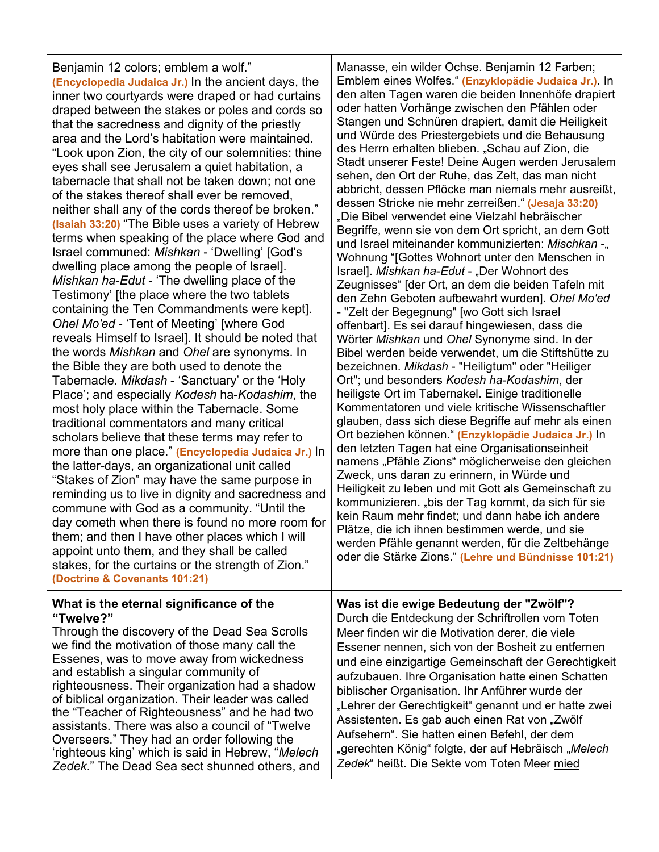Benjamin 12 colors; emblem a wolf." **(Encyclopedia Judaica Jr.)** In the ancient days, the inner two courtyards were draped or had curtains draped between the stakes or poles and cords so that the sacredness and dignity of the priestly area and the Lord's habitation were maintained. "Look upon Zion, the city of our solemnities: thine eyes shall see Jerusalem a quiet habitation, a tabernacle that shall not be taken down; not one of the stakes thereof shall ever be removed, neither shall any of the cords thereof be broken." **(Isaiah 33:20)** "The Bible uses a variety of Hebrew terms when speaking of the place where God and Israel communed: *Mishkan* - 'Dwelling' [God's dwelling place among the people of Israel]. *Mishkan ha*-*Edut* - 'The dwelling place of the Testimony' [the place where the two tablets containing the Ten Commandments were kept]. *Ohel Mo'ed* - 'Tent of Meeting' [where God reveals Himself to Israel]. It should be noted that the words *Mishkan* and *Ohel* are synonyms. In the Bible they are both used to denote the Tabernacle. *Mikdash* - 'Sanctuary' or the 'Holy Place'; and especially *Kodesh* ha-*Kodashim*, the most holy place within the Tabernacle. Some traditional commentators and many critical scholars believe that these terms may refer to more than one place." **(Encyclopedia Judaica Jr.)** In the latter-days, an organizational unit called "Stakes of Zion" may have the same purpose in reminding us to live in dignity and sacredness and commune with God as a community. "Until the day cometh when there is found no more room for them; and then I have other places which I will appoint unto them, and they shall be called stakes, for the curtains or the strength of Zion." **(Doctrine & Covenants 101:21)**

#### **What is the eternal significance of the "Twelve?"**

Through the discovery of the Dead Sea Scrolls we find the motivation of those many call the Essenes, was to move away from wickedness and establish a singular community of righteousness. Their organization had a shadow of biblical organization. Their leader was called the "Teacher of Righteousness" and he had two assistants. There was also a council of "Twelve Overseers." They had an order following the 'righteous king' which is said in Hebrew, "*Melech Zedek*." The Dead Sea sect shunned others, and Manasse, ein wilder Ochse. Benjamin 12 Farben; Emblem eines Wolfes." **(Enzyklopädie Judaica Jr.)**. In den alten Tagen waren die beiden Innenhöfe drapiert oder hatten Vorhänge zwischen den Pfählen oder Stangen und Schnüren drapiert, damit die Heiligkeit und Würde des Priestergebiets und die Behausung des Herrn erhalten blieben. "Schau auf Zion, die Stadt unserer Feste! Deine Augen werden Jerusalem sehen, den Ort der Ruhe, das Zelt, das man nicht abbricht, dessen Pflöcke man niemals mehr ausreißt, dessen Stricke nie mehr zerreißen." **(Jesaja 33:20)** "Die Bibel verwendet eine Vielzahl hebräischer Begriffe, wenn sie von dem Ort spricht, an dem Gott und Israel miteinander kommunizierten: Mischkan -<sub>"</sub> Wohnung "[Gottes Wohnort unter den Menschen in Israel]. *Mishkan ha-Edut* - "Der Wohnort des Zeugnisses" [der Ort, an dem die beiden Tafeln mit den Zehn Geboten aufbewahrt wurden]. *Ohel Mo'ed* - "Zelt der Begegnung" [wo Gott sich Israel offenbart]. Es sei darauf hingewiesen, dass die Wörter *Mishkan* und *Ohel* Synonyme sind. In der Bibel werden beide verwendet, um die Stiftshütte zu bezeichnen. *Mikdash* - "Heiligtum" oder "Heiliger Ort"; und besonders *Kodesh ha*-*Kodashim*, der heiligste Ort im Tabernakel. Einige traditionelle Kommentatoren und viele kritische Wissenschaftler glauben, dass sich diese Begriffe auf mehr als einen Ort beziehen können." **(Enzyklopädie Judaica Jr.)** In den letzten Tagen hat eine Organisationseinheit namens "Pfähle Zions" möglicherweise den gleichen Zweck, uns daran zu erinnern, in Würde und Heiligkeit zu leben und mit Gott als Gemeinschaft zu kommunizieren. "bis der Tag kommt, da sich für sie kein Raum mehr findet; und dann habe ich andere Plätze, die ich ihnen bestimmen werde, und sie werden Pfähle genannt werden, für die Zeltbehänge oder die Stärke Zions." **(Lehre und Bündnisse 101:21)**

**Was ist die ewige Bedeutung der "Zwölf"?** Durch die Entdeckung der Schriftrollen vom Toten Meer finden wir die Motivation derer, die viele Essener nennen, sich von der Bosheit zu entfernen und eine einzigartige Gemeinschaft der Gerechtigkeit aufzubauen. Ihre Organisation hatte einen Schatten biblischer Organisation. Ihr Anführer wurde der "Lehrer der Gerechtigkeit" genannt und er hatte zwei Assistenten. Es gab auch einen Rat von "Zwölf Aufsehern". Sie hatten einen Befehl, der dem "gerechten König" folgte, der auf Hebräisch "*Melech Zedek*" heißt. Die Sekte vom Toten Meer mied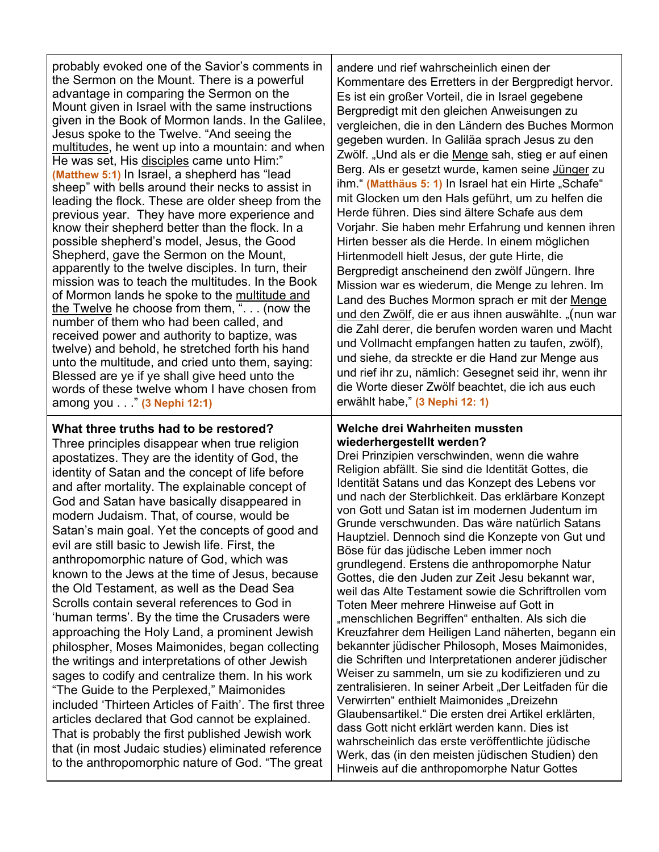probably evoked one of the Savior's comments in the Sermon on the Mount. There is a powerful advantage in comparing the Sermon on the Mount given in Israel with the same instructions given in the Book of Mormon lands. In the Galilee, Jesus spoke to the Twelve. "And seeing the multitudes, he went up into a mountain: and when He was set, His disciples came unto Him:" **(Matthew 5:1)** In Israel, a shepherd has "lead sheep" with bells around their necks to assist in leading the flock. These are older sheep from the previous year. They have more experience and know their shepherd better than the flock. In a possible shepherd's model, Jesus, the Good Shepherd, gave the Sermon on the Mount, apparently to the twelve disciples. In turn, their mission was to teach the multitudes. In the Book of Mormon lands he spoke to the multitude and the Twelve he choose from them, ". . . (now the number of them who had been called, and received power and authority to baptize, was twelve) and behold, he stretched forth his hand unto the multitude, and cried unto them, saying: Blessed are ye if ye shall give heed unto the words of these twelve whom I have chosen from among you . . ." **(3 Nephi 12:1)**

# **What three truths had to be restored?**

Three principles disappear when true religion apostatizes. They are the identity of God, the identity of Satan and the concept of life before and after mortality. The explainable concept of God and Satan have basically disappeared in modern Judaism. That, of course, would be Satan's main goal. Yet the concepts of good and evil are still basic to Jewish life. First, the anthropomorphic nature of God, which was known to the Jews at the time of Jesus, because the Old Testament, as well as the Dead Sea Scrolls contain several references to God in 'human terms'. By the time the Crusaders were approaching the Holy Land, a prominent Jewish philospher, Moses Maimonides, began collecting the writings and interpretations of other Jewish sages to codify and centralize them. In his work "The Guide to the Perplexed," Maimonides included 'Thirteen Articles of Faith'. The first three articles declared that God cannot be explained. That is probably the first published Jewish work that (in most Judaic studies) eliminated reference to the anthropomorphic nature of God. "The great

andere und rief wahrscheinlich einen der Kommentare des Erretters in der Bergpredigt hervor. Es ist ein großer Vorteil, die in Israel gegebene Bergpredigt mit den gleichen Anweisungen zu vergleichen, die in den Ländern des Buches Mormon gegeben wurden. In Galiläa sprach Jesus zu den Zwölf. "Und als er die Menge sah, stieg er auf einen Berg. Als er gesetzt wurde, kamen seine Jünger zu ihm." (Matthäus 5: 1) In Israel hat ein Hirte "Schafe" mit Glocken um den Hals geführt, um zu helfen die Herde führen. Dies sind ältere Schafe aus dem Vorjahr. Sie haben mehr Erfahrung und kennen ihren Hirten besser als die Herde. In einem möglichen Hirtenmodell hielt Jesus, der gute Hirte, die Bergpredigt anscheinend den zwölf Jüngern. Ihre Mission war es wiederum, die Menge zu lehren. Im Land des Buches Mormon sprach er mit der Menge und den Zwölf, die er aus ihnen auswählte. "(nun war die Zahl derer, die berufen worden waren und Macht und Vollmacht empfangen hatten zu taufen, zwölf), und siehe, da streckte er die Hand zur Menge aus und rief ihr zu, nämlich: Gesegnet seid ihr, wenn ihr die Worte dieser Zwölf beachtet, die ich aus euch erwählt habe," **(3 Nephi 12: 1)**

#### **Welche drei Wahrheiten mussten wiederhergestellt werden?**

Drei Prinzipien verschwinden, wenn die wahre Religion abfällt. Sie sind die Identität Gottes, die Identität Satans und das Konzept des Lebens vor und nach der Sterblichkeit. Das erklärbare Konzept von Gott und Satan ist im modernen Judentum im Grunde verschwunden. Das wäre natürlich Satans Hauptziel. Dennoch sind die Konzepte von Gut und Böse für das jüdische Leben immer noch grundlegend. Erstens die anthropomorphe Natur Gottes, die den Juden zur Zeit Jesu bekannt war, weil das Alte Testament sowie die Schriftrollen vom Toten Meer mehrere Hinweise auf Gott in "menschlichen Begriffen" enthalten. Als sich die Kreuzfahrer dem Heiligen Land näherten, begann ein bekannter jüdischer Philosoph, Moses Maimonides, die Schriften und Interpretationen anderer jüdischer Weiser zu sammeln, um sie zu kodifizieren und zu zentralisieren. In seiner Arbeit "Der Leitfaden für die Verwirrten" enthielt Maimonides "Dreizehn Glaubensartikel." Die ersten drei Artikel erklärten, dass Gott nicht erklärt werden kann. Dies ist wahrscheinlich das erste veröffentlichte jüdische Werk, das (in den meisten jüdischen Studien) den Hinweis auf die anthropomorphe Natur Gottes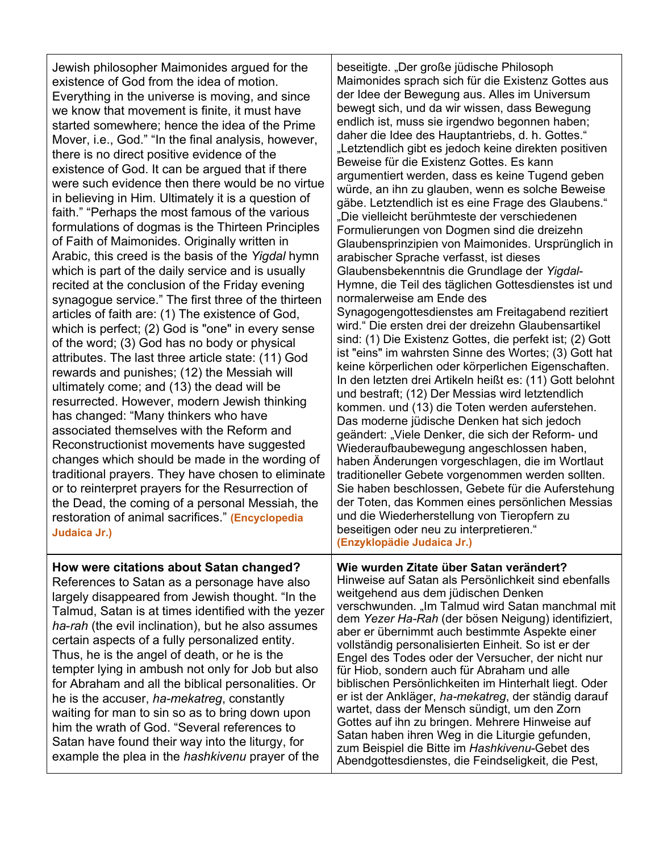Jewish philosopher Maimonides argued for the existence of God from the idea of motion. Everything in the universe is moving, and since we know that movement is finite, it must have started somewhere; hence the idea of the Prime Mover, i.e., God." "In the final analysis, however, there is no direct positive evidence of the existence of God. It can be argued that if there were such evidence then there would be no virtue in believing in Him. Ultimately it is a question of faith." "Perhaps the most famous of the various formulations of dogmas is the Thirteen Principles of Faith of Maimonides. Originally written in Arabic, this creed is the basis of the *Yigdal* hymn which is part of the daily service and is usually recited at the conclusion of the Friday evening synagogue service." The first three of the thirteen articles of faith are: (1) The existence of God, which is perfect; (2) God is "one" in every sense of the word; (3) God has no body or physical attributes. The last three article state: (11) God rewards and punishes; (12) the Messiah will ultimately come; and (13) the dead will be resurrected. However, modern Jewish thinking has changed: "Many thinkers who have associated themselves with the Reform and Reconstructionist movements have suggested changes which should be made in the wording of traditional prayers. They have chosen to eliminate or to reinterpret prayers for the Resurrection of the Dead, the coming of a personal Messiah, the restoration of animal sacrifices." **(Encyclopedia Judaica Jr.)**

# **How were citations about Satan changed?**

References to Satan as a personage have also largely disappeared from Jewish thought. "In the Talmud, Satan is at times identified with the yezer *ha*-*rah* (the evil inclination), but he also assumes certain aspects of a fully personalized entity. Thus, he is the angel of death, or he is the tempter lying in ambush not only for Job but also for Abraham and all the biblical personalities. Or he is the accuser, *ha-mekatreg*, constantly waiting for man to sin so as to bring down upon him the wrath of God. "Several references to Satan have found their way into the liturgy, for example the plea in the *hashkivenu* prayer of the

beseitigte. "Der große jüdische Philosoph Maimonides sprach sich für die Existenz Gottes aus der Idee der Bewegung aus. Alles im Universum bewegt sich, und da wir wissen, dass Bewegung endlich ist, muss sie irgendwo begonnen haben; daher die Idee des Hauptantriebs, d. h. Gottes." "Letztendlich gibt es jedoch keine direkten positiven Beweise für die Existenz Gottes. Es kann argumentiert werden, dass es keine Tugend geben würde, an ihn zu glauben, wenn es solche Beweise gäbe. Letztendlich ist es eine Frage des Glaubens." "Die vielleicht berühmteste der verschiedenen Formulierungen von Dogmen sind die dreizehn Glaubensprinzipien von Maimonides. Ursprünglich in arabischer Sprache verfasst, ist dieses Glaubensbekenntnis die Grundlage der *Yigdal*-Hymne, die Teil des täglichen Gottesdienstes ist und normalerweise am Ende des Synagogengottesdienstes am Freitagabend rezitiert wird." Die ersten drei der dreizehn Glaubensartikel sind: (1) Die Existenz Gottes, die perfekt ist; (2) Gott ist "eins" im wahrsten Sinne des Wortes; (3) Gott hat keine körperlichen oder körperlichen Eigenschaften. In den letzten drei Artikeln heißt es: (11) Gott belohnt und bestraft; (12) Der Messias wird letztendlich kommen. und (13) die Toten werden auferstehen. Das moderne jüdische Denken hat sich jedoch geändert: "Viele Denker, die sich der Reform- und Wiederaufbaubewegung angeschlossen haben, haben Änderungen vorgeschlagen, die im Wortlaut traditioneller Gebete vorgenommen werden sollten. Sie haben beschlossen, Gebete für die Auferstehung der Toten, das Kommen eines persönlichen Messias und die Wiederherstellung von Tieropfern zu beseitigen oder neu zu interpretieren." **(Enzyklopädie Judaica Jr.)**

# **Wie wurden Zitate über Satan verändert?**

Hinweise auf Satan als Persönlichkeit sind ebenfalls weitgehend aus dem jüdischen Denken verschwunden. "Im Talmud wird Satan manchmal mit dem *Yezer Ha-Rah* (der bösen Neigung) identifiziert, aber er übernimmt auch bestimmte Aspekte einer vollständig personalisierten Einheit. So ist er der Engel des Todes oder der Versucher, der nicht nur für Hiob, sondern auch für Abraham und alle biblischen Persönlichkeiten im Hinterhalt liegt. Oder er ist der Ankläger, *ha-mekatreg*, der ständig darauf wartet, dass der Mensch sündigt, um den Zorn Gottes auf ihn zu bringen. Mehrere Hinweise auf Satan haben ihren Weg in die Liturgie gefunden, zum Beispiel die Bitte im *Hashkivenu*-Gebet des Abendgottesdienstes, die Feindseligkeit, die Pest,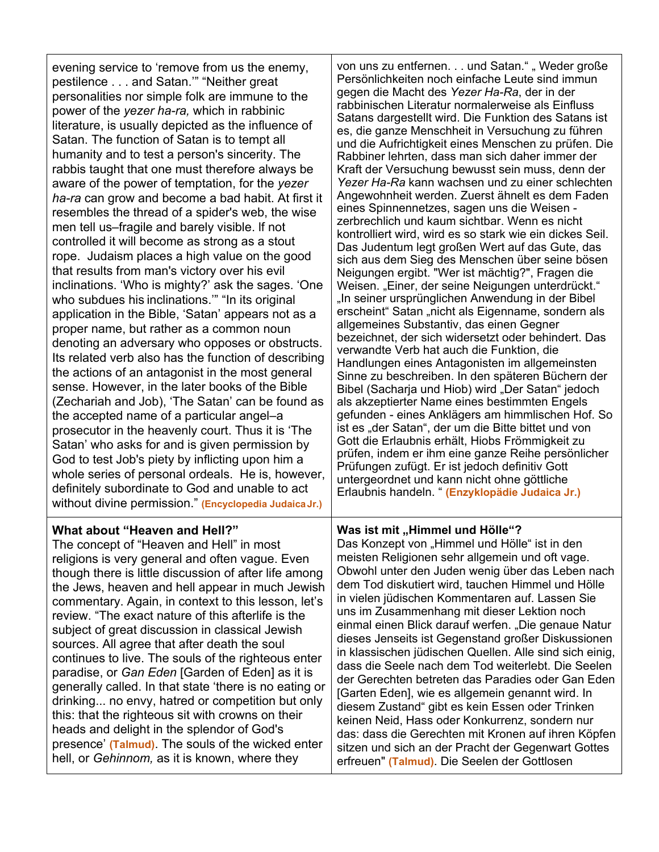evening service to 'remove from us the enemy, pestilence . . . and Satan.'" "Neither great personalities nor simple folk are immune to the power of the *yezer ha-ra,* which in rabbinic literature, is usually depicted as the influence of Satan. The function of Satan is to tempt all humanity and to test a person's sincerity. The rabbis taught that one must therefore always be aware of the power of temptation, for the *yezer ha-ra* can grow and become a bad habit. At first it resembles the thread of a spider's web, the wise men tell us–fragile and barely visible. lf not controlled it will become as strong as a stout rope. Judaism places a high value on the good that results from man's victory over his evil inclinations. 'Who is mighty?' ask the sages. 'One who subdues his inclinations.'" "In its original application in the Bible, 'Satan' appears not as a proper name, but rather as a common noun denoting an adversary who opposes or obstructs. Its related verb also has the function of describing the actions of an antagonist in the most general sense. However, in the later books of the Bible (Zechariah and Job), 'The Satan' can be found as the accepted name of a particular angel–a prosecutor in the heavenly court. Thus it is 'The Satan' who asks for and is given permission by God to test Job's piety by inflicting upon him a whole series of personal ordeals. He is, however, definitely subordinate to God and unable to act without divine permission." **(Encyclopedia JudaicaJr.)**

# **What about "Heaven and Hell?"**

The concept of "Heaven and Hell" in most religions is very general and often vague. Even though there is little discussion of after life among the Jews, heaven and hell appear in much Jewish commentary. Again, in context to this lesson, let's review. "The exact nature of this afterlife is the subject of great discussion in classical Jewish sources. All agree that after death the soul continues to live. The souls of the righteous enter paradise, or *Gan Eden* [Garden of Eden] as it is generally called. In that state 'there is no eating or drinking... no envy, hatred or competition but only this: that the righteous sit with crowns on their heads and delight in the splendor of God's presence' **(Talmud)**. The souls of the wicked enter hell, or *Gehinnom,* as it is known, where they

von uns zu entfernen. . . und Satan." "Weder große Persönlichkeiten noch einfache Leute sind immun gegen die Macht des *Yezer Ha-Ra*, der in der rabbinischen Literatur normalerweise als Einfluss Satans dargestellt wird. Die Funktion des Satans ist es, die ganze Menschheit in Versuchung zu führen und die Aufrichtigkeit eines Menschen zu prüfen. Die Rabbiner lehrten, dass man sich daher immer der Kraft der Versuchung bewusst sein muss, denn der *Yezer Ha-Ra* kann wachsen und zu einer schlechten Angewohnheit werden. Zuerst ähnelt es dem Faden eines Spinnennetzes, sagen uns die Weisen zerbrechlich und kaum sichtbar. Wenn es nicht kontrolliert wird, wird es so stark wie ein dickes Seil. Das Judentum legt großen Wert auf das Gute, das sich aus dem Sieg des Menschen über seine bösen Neigungen ergibt. "Wer ist mächtig?", Fragen die Weisen. "Einer, der seine Neigungen unterdrückt." "In seiner ursprünglichen Anwendung in der Bibel erscheint" Satan "nicht als Eigenname, sondern als allgemeines Substantiv, das einen Gegner bezeichnet, der sich widersetzt oder behindert. Das verwandte Verb hat auch die Funktion, die Handlungen eines Antagonisten im allgemeinsten Sinne zu beschreiben. In den späteren Büchern der Bibel (Sacharja und Hiob) wird "Der Satan" jedoch als akzeptierter Name eines bestimmten Engels gefunden - eines Anklägers am himmlischen Hof. So ist es "der Satan", der um die Bitte bittet und von Gott die Erlaubnis erhält, Hiobs Frömmigkeit zu prüfen, indem er ihm eine ganze Reihe persönlicher Prüfungen zufügt. Er ist jedoch definitiv Gott untergeordnet und kann nicht ohne göttliche Erlaubnis handeln. " **(Enzyklopädie Judaica Jr.)**

# **Was ist mit "Himmel und Hölle"?**

Das Konzept von "Himmel und Hölle" ist in den meisten Religionen sehr allgemein und oft vage. Obwohl unter den Juden wenig über das Leben nach dem Tod diskutiert wird, tauchen Himmel und Hölle in vielen jüdischen Kommentaren auf. Lassen Sie uns im Zusammenhang mit dieser Lektion noch einmal einen Blick darauf werfen. "Die genaue Natur dieses Jenseits ist Gegenstand großer Diskussionen in klassischen jüdischen Quellen. Alle sind sich einig, dass die Seele nach dem Tod weiterlebt. Die Seelen der Gerechten betreten das Paradies oder Gan Eden [Garten Eden], wie es allgemein genannt wird. In diesem Zustand" gibt es kein Essen oder Trinken keinen Neid, Hass oder Konkurrenz, sondern nur das: dass die Gerechten mit Kronen auf ihren Köpfen sitzen und sich an der Pracht der Gegenwart Gottes erfreuen" **(Talmud)**. Die Seelen der Gottlosen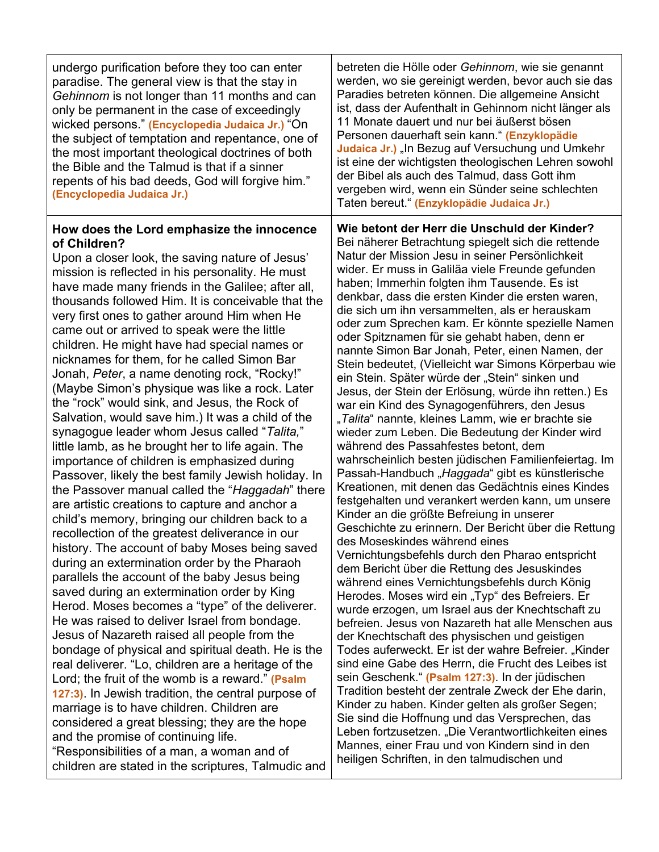| undergo purification before they too can enter<br>paradise. The general view is that the stay in<br>Gehinnom is not longer than 11 months and can<br>only be permanent in the case of exceedingly<br>wicked persons." (Encyclopedia Judaica Jr.) "On<br>the subject of temptation and repentance, one of<br>the most important theological doctrines of both<br>the Bible and the Talmud is that if a sinner<br>repents of his bad deeds, God will forgive him."<br>(Encyclopedia Judaica Jr.)                                                                                                                                                                                                                                                                                                                                                                                                                                                                                                                                                                                                                                                                                                                                                                                                                                                                                                                                                                                                                                                                                                                                                                                                                                                                                                                                                                                                                                             | betreten die Hölle oder Gehinnom, wie sie genannt<br>werden, wo sie gereinigt werden, bevor auch sie das<br>Paradies betreten können. Die allgemeine Ansicht<br>ist, dass der Aufenthalt in Gehinnom nicht länger als<br>11 Monate dauert und nur bei äußerst bösen<br>Personen dauerhaft sein kann." (Enzyklopädie<br>Judaica Jr.) "In Bezug auf Versuchung und Umkehr<br>ist eine der wichtigsten theologischen Lehren sowohl<br>der Bibel als auch des Talmud, dass Gott ihm<br>vergeben wird, wenn ein Sünder seine schlechten<br>Taten bereut." (Enzyklopädie Judaica Jr.)                                                                                                                                                                                                                                                                                                                                                                                                                                                                                                                                                                                                                                                                                                                                                                                                                                                                                                                                                                                                                                                                                                                                                                                                                                                                                                                                                                                                                                                                                                                                |
|--------------------------------------------------------------------------------------------------------------------------------------------------------------------------------------------------------------------------------------------------------------------------------------------------------------------------------------------------------------------------------------------------------------------------------------------------------------------------------------------------------------------------------------------------------------------------------------------------------------------------------------------------------------------------------------------------------------------------------------------------------------------------------------------------------------------------------------------------------------------------------------------------------------------------------------------------------------------------------------------------------------------------------------------------------------------------------------------------------------------------------------------------------------------------------------------------------------------------------------------------------------------------------------------------------------------------------------------------------------------------------------------------------------------------------------------------------------------------------------------------------------------------------------------------------------------------------------------------------------------------------------------------------------------------------------------------------------------------------------------------------------------------------------------------------------------------------------------------------------------------------------------------------------------------------------------|----------------------------------------------------------------------------------------------------------------------------------------------------------------------------------------------------------------------------------------------------------------------------------------------------------------------------------------------------------------------------------------------------------------------------------------------------------------------------------------------------------------------------------------------------------------------------------------------------------------------------------------------------------------------------------------------------------------------------------------------------------------------------------------------------------------------------------------------------------------------------------------------------------------------------------------------------------------------------------------------------------------------------------------------------------------------------------------------------------------------------------------------------------------------------------------------------------------------------------------------------------------------------------------------------------------------------------------------------------------------------------------------------------------------------------------------------------------------------------------------------------------------------------------------------------------------------------------------------------------------------------------------------------------------------------------------------------------------------------------------------------------------------------------------------------------------------------------------------------------------------------------------------------------------------------------------------------------------------------------------------------------------------------------------------------------------------------------------------------------|
| How does the Lord emphasize the innocence<br>of Children?<br>Upon a closer look, the saving nature of Jesus'<br>mission is reflected in his personality. He must<br>have made many friends in the Galilee; after all,<br>thousands followed Him. It is conceivable that the<br>very first ones to gather around Him when He<br>came out or arrived to speak were the little<br>children. He might have had special names or<br>nicknames for them, for he called Simon Bar<br>Jonah, <i>Peter</i> , a name denoting rock, "Rocky!"<br>(Maybe Simon's physique was like a rock. Later<br>the "rock" would sink, and Jesus, the Rock of<br>Salvation, would save him.) It was a child of the<br>synagogue leader whom Jesus called "Talita,"<br>little lamb, as he brought her to life again. The<br>importance of children is emphasized during<br>Passover, likely the best family Jewish holiday. In<br>the Passover manual called the "Haggadah" there<br>are artistic creations to capture and anchor a<br>child's memory, bringing our children back to a<br>recollection of the greatest deliverance in our<br>history. The account of baby Moses being saved<br>during an extermination order by the Pharaoh<br>parallels the account of the baby Jesus being<br>saved during an extermination order by King<br>Herod. Moses becomes a "type" of the deliverer.<br>He was raised to deliver Israel from bondage.<br>Jesus of Nazareth raised all people from the<br>bondage of physical and spiritual death. He is the<br>real deliverer. "Lo, children are a heritage of the<br>Lord; the fruit of the womb is a reward." (Psalm<br>127:3). In Jewish tradition, the central purpose of<br>marriage is to have children. Children are<br>considered a great blessing; they are the hope<br>and the promise of continuing life.<br>"Responsibilities of a man, a woman and of<br>children are stated in the scriptures, Talmudic and | Wie betont der Herr die Unschuld der Kinder?<br>Bei näherer Betrachtung spiegelt sich die rettende<br>Natur der Mission Jesu in seiner Persönlichkeit<br>wider. Er muss in Galiläa viele Freunde gefunden<br>haben; Immerhin folgten ihm Tausende. Es ist<br>denkbar, dass die ersten Kinder die ersten waren,<br>die sich um ihn versammelten, als er herauskam<br>oder zum Sprechen kam. Er könnte spezielle Namen<br>oder Spitznamen für sie gehabt haben, denn er<br>nannte Simon Bar Jonah, Peter, einen Namen, der<br>Stein bedeutet, (Vielleicht war Simons Körperbau wie<br>ein Stein. Später würde der "Stein" sinken und<br>Jesus, der Stein der Erlösung, würde ihn retten.) Es<br>war ein Kind des Synagogenführers, den Jesus<br>"Talita" nannte, kleines Lamm, wie er brachte sie<br>wieder zum Leben. Die Bedeutung der Kinder wird<br>während des Passahfestes betont, dem<br>wahrscheinlich besten jüdischen Familienfeiertag. Im<br>Passah-Handbuch "Haggada" gibt es künstlerische<br>Kreationen, mit denen das Gedächtnis eines Kindes<br>festgehalten und verankert werden kann, um unsere<br>Kinder an die größte Befreiung in unserer<br>Geschichte zu erinnern. Der Bericht über die Rettung<br>des Moseskindes während eines<br>Vernichtungsbefehls durch den Pharao entspricht<br>dem Bericht über die Rettung des Jesuskindes<br>während eines Vernichtungsbefehls durch König<br>Herodes. Moses wird ein "Typ" des Befreiers. Er<br>wurde erzogen, um Israel aus der Knechtschaft zu<br>befreien. Jesus von Nazareth hat alle Menschen aus<br>der Knechtschaft des physischen und geistigen<br>Todes auferweckt. Er ist der wahre Befreier. "Kinder<br>sind eine Gabe des Herrn, die Frucht des Leibes ist<br>sein Geschenk." (Psalm 127:3). In der jüdischen<br>Tradition besteht der zentrale Zweck der Ehe darin,<br>Kinder zu haben. Kinder gelten als großer Segen;<br>Sie sind die Hoffnung und das Versprechen, das<br>Leben fortzusetzen. "Die Verantwortlichkeiten eines<br>Mannes, einer Frau und von Kindern sind in den<br>heiligen Schriften, in den talmudischen und |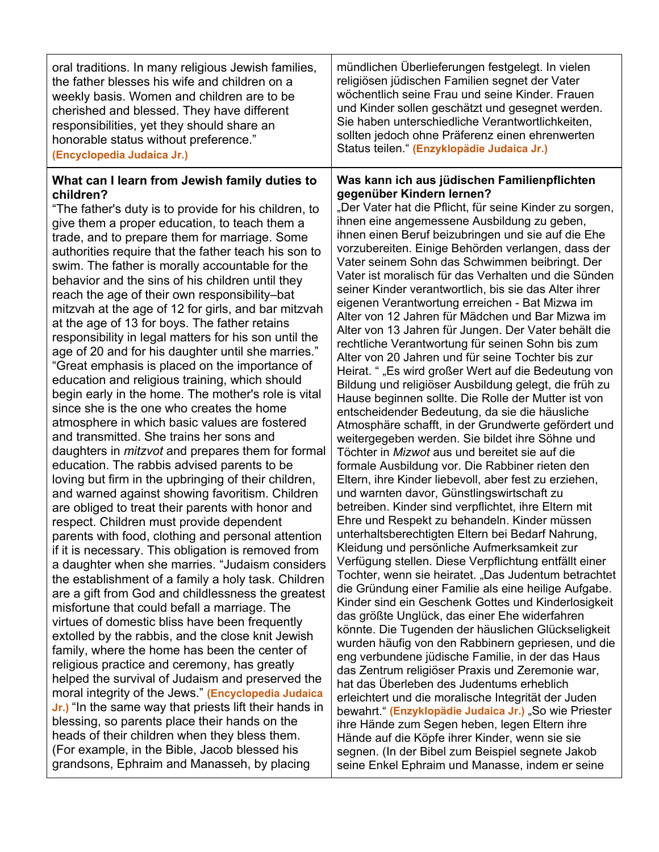| oral traditions. In many religious Jewish families,                                                                                                                                                                                                                                                                                                                                                                                                                                                                                                                                                                                                                                                                                                                                                                                                                                                                                                                                                                                                                                                                                                                                                                                                                                                                                                                                                                                                                                                                                                                                                                                                                                                                                                                                                                                                                                                                                                                                                                                                                                                                                                                                                  | mündlichen Überlieferungen festgelegt. In vielen                                                                                                                                                                                                                                                                                                                                                                                                                                                                                                                                                                                                                                                                                                                                                                                                                                                                                                                                                                                                                                                                                                                                                                                                                                                                                                                                                                                                                                                                                                                                                                                                                                                                                                                                                                                                                                                                                                                                                                                                                                                                                                                                                                                                                                                                                                                                  |
|------------------------------------------------------------------------------------------------------------------------------------------------------------------------------------------------------------------------------------------------------------------------------------------------------------------------------------------------------------------------------------------------------------------------------------------------------------------------------------------------------------------------------------------------------------------------------------------------------------------------------------------------------------------------------------------------------------------------------------------------------------------------------------------------------------------------------------------------------------------------------------------------------------------------------------------------------------------------------------------------------------------------------------------------------------------------------------------------------------------------------------------------------------------------------------------------------------------------------------------------------------------------------------------------------------------------------------------------------------------------------------------------------------------------------------------------------------------------------------------------------------------------------------------------------------------------------------------------------------------------------------------------------------------------------------------------------------------------------------------------------------------------------------------------------------------------------------------------------------------------------------------------------------------------------------------------------------------------------------------------------------------------------------------------------------------------------------------------------------------------------------------------------------------------------------------------------|-----------------------------------------------------------------------------------------------------------------------------------------------------------------------------------------------------------------------------------------------------------------------------------------------------------------------------------------------------------------------------------------------------------------------------------------------------------------------------------------------------------------------------------------------------------------------------------------------------------------------------------------------------------------------------------------------------------------------------------------------------------------------------------------------------------------------------------------------------------------------------------------------------------------------------------------------------------------------------------------------------------------------------------------------------------------------------------------------------------------------------------------------------------------------------------------------------------------------------------------------------------------------------------------------------------------------------------------------------------------------------------------------------------------------------------------------------------------------------------------------------------------------------------------------------------------------------------------------------------------------------------------------------------------------------------------------------------------------------------------------------------------------------------------------------------------------------------------------------------------------------------------------------------------------------------------------------------------------------------------------------------------------------------------------------------------------------------------------------------------------------------------------------------------------------------------------------------------------------------------------------------------------------------------------------------------------------------------------------------------------------------|
| the father blesses his wife and children on a                                                                                                                                                                                                                                                                                                                                                                                                                                                                                                                                                                                                                                                                                                                                                                                                                                                                                                                                                                                                                                                                                                                                                                                                                                                                                                                                                                                                                                                                                                                                                                                                                                                                                                                                                                                                                                                                                                                                                                                                                                                                                                                                                        | religiösen jüdischen Familien segnet der Vater                                                                                                                                                                                                                                                                                                                                                                                                                                                                                                                                                                                                                                                                                                                                                                                                                                                                                                                                                                                                                                                                                                                                                                                                                                                                                                                                                                                                                                                                                                                                                                                                                                                                                                                                                                                                                                                                                                                                                                                                                                                                                                                                                                                                                                                                                                                                    |
| weekly basis. Women and children are to be                                                                                                                                                                                                                                                                                                                                                                                                                                                                                                                                                                                                                                                                                                                                                                                                                                                                                                                                                                                                                                                                                                                                                                                                                                                                                                                                                                                                                                                                                                                                                                                                                                                                                                                                                                                                                                                                                                                                                                                                                                                                                                                                                           | wöchentlich seine Frau und seine Kinder. Frauen                                                                                                                                                                                                                                                                                                                                                                                                                                                                                                                                                                                                                                                                                                                                                                                                                                                                                                                                                                                                                                                                                                                                                                                                                                                                                                                                                                                                                                                                                                                                                                                                                                                                                                                                                                                                                                                                                                                                                                                                                                                                                                                                                                                                                                                                                                                                   |
| cherished and blessed. They have different                                                                                                                                                                                                                                                                                                                                                                                                                                                                                                                                                                                                                                                                                                                                                                                                                                                                                                                                                                                                                                                                                                                                                                                                                                                                                                                                                                                                                                                                                                                                                                                                                                                                                                                                                                                                                                                                                                                                                                                                                                                                                                                                                           | und Kinder sollen geschätzt und gesegnet werden.                                                                                                                                                                                                                                                                                                                                                                                                                                                                                                                                                                                                                                                                                                                                                                                                                                                                                                                                                                                                                                                                                                                                                                                                                                                                                                                                                                                                                                                                                                                                                                                                                                                                                                                                                                                                                                                                                                                                                                                                                                                                                                                                                                                                                                                                                                                                  |
| responsibilities, yet they should share an                                                                                                                                                                                                                                                                                                                                                                                                                                                                                                                                                                                                                                                                                                                                                                                                                                                                                                                                                                                                                                                                                                                                                                                                                                                                                                                                                                                                                                                                                                                                                                                                                                                                                                                                                                                                                                                                                                                                                                                                                                                                                                                                                           | Sie haben unterschiedliche Verantwortlichkeiten,                                                                                                                                                                                                                                                                                                                                                                                                                                                                                                                                                                                                                                                                                                                                                                                                                                                                                                                                                                                                                                                                                                                                                                                                                                                                                                                                                                                                                                                                                                                                                                                                                                                                                                                                                                                                                                                                                                                                                                                                                                                                                                                                                                                                                                                                                                                                  |
| honorable status without preference."                                                                                                                                                                                                                                                                                                                                                                                                                                                                                                                                                                                                                                                                                                                                                                                                                                                                                                                                                                                                                                                                                                                                                                                                                                                                                                                                                                                                                                                                                                                                                                                                                                                                                                                                                                                                                                                                                                                                                                                                                                                                                                                                                                | sollten jedoch ohne Präferenz einen ehrenwerten                                                                                                                                                                                                                                                                                                                                                                                                                                                                                                                                                                                                                                                                                                                                                                                                                                                                                                                                                                                                                                                                                                                                                                                                                                                                                                                                                                                                                                                                                                                                                                                                                                                                                                                                                                                                                                                                                                                                                                                                                                                                                                                                                                                                                                                                                                                                   |
| (Encyclopedia Judaica Jr.)                                                                                                                                                                                                                                                                                                                                                                                                                                                                                                                                                                                                                                                                                                                                                                                                                                                                                                                                                                                                                                                                                                                                                                                                                                                                                                                                                                                                                                                                                                                                                                                                                                                                                                                                                                                                                                                                                                                                                                                                                                                                                                                                                                           | Status teilen." (Enzyklopädie Judaica Jr.)                                                                                                                                                                                                                                                                                                                                                                                                                                                                                                                                                                                                                                                                                                                                                                                                                                                                                                                                                                                                                                                                                                                                                                                                                                                                                                                                                                                                                                                                                                                                                                                                                                                                                                                                                                                                                                                                                                                                                                                                                                                                                                                                                                                                                                                                                                                                        |
| What can I learn from Jewish family duties to<br>children?<br>"The father's duty is to provide for his children, to<br>give them a proper education, to teach them a<br>trade, and to prepare them for marriage. Some<br>authorities require that the father teach his son to<br>swim. The father is morally accountable for the<br>behavior and the sins of his children until they<br>reach the age of their own responsibility-bat<br>mitzvah at the age of 12 for girls, and bar mitzvah<br>at the age of 13 for boys. The father retains<br>responsibility in legal matters for his son until the<br>age of 20 and for his daughter until she marries."<br>"Great emphasis is placed on the importance of<br>education and religious training, which should<br>begin early in the home. The mother's role is vital<br>since she is the one who creates the home<br>atmosphere in which basic values are fostered<br>and transmitted. She trains her sons and<br>daughters in <i>mitzvot</i> and prepares them for formal<br>education. The rabbis advised parents to be<br>loving but firm in the upbringing of their children,<br>and warned against showing favoritism. Children<br>are obliged to treat their parents with honor and<br>respect. Children must provide dependent<br>parents with food, clothing and personal attention<br>if it is necessary. This obligation is removed from<br>a daughter when she marries. "Judaism considers<br>the establishment of a family a holy task. Children<br>are a gift from God and childlessness the greatest<br>misfortune that could befall a marriage. The<br>virtues of domestic bliss have been frequently<br>extolled by the rabbis, and the close knit Jewish<br>family, where the home has been the center of<br>religious practice and ceremony, has greatly<br>helped the survival of Judaism and preserved the<br>moral integrity of the Jews." (Encyclopedia Judaica<br>Jr.) "In the same way that priests lift their hands in<br>blessing, so parents place their hands on the<br>heads of their children when they bless them.<br>(For example, in the Bible, Jacob blessed his<br>grandsons, Ephraim and Manasseh, by placing | Was kann ich aus jüdischen Familienpflichten<br>gegenüber Kindern lernen?<br>"Der Vater hat die Pflicht, für seine Kinder zu sorgen,<br>ihnen eine angemessene Ausbildung zu geben,<br>ihnen einen Beruf beizubringen und sie auf die Ehe<br>vorzubereiten. Einige Behörden verlangen, dass der<br>Vater seinem Sohn das Schwimmen beibringt. Der<br>Vater ist moralisch für das Verhalten und die Sünden<br>seiner Kinder verantwortlich, bis sie das Alter ihrer<br>eigenen Verantwortung erreichen - Bat Mizwa im<br>Alter von 12 Jahren für Mädchen und Bar Mizwa im<br>Alter von 13 Jahren für Jungen. Der Vater behält die<br>rechtliche Verantwortung für seinen Sohn bis zum<br>Alter von 20 Jahren und für seine Tochter bis zur<br>Heirat. " "Es wird großer Wert auf die Bedeutung von<br>Bildung und religiöser Ausbildung gelegt, die früh zu<br>Hause beginnen sollte. Die Rolle der Mutter ist von<br>entscheidender Bedeutung, da sie die häusliche<br>Atmosphäre schafft, in der Grundwerte gefördert und<br>weitergegeben werden. Sie bildet ihre Söhne und<br>Töchter in Mizwot aus und bereitet sie auf die<br>formale Ausbildung vor. Die Rabbiner rieten den<br>Eltern, ihre Kinder liebevoll, aber fest zu erziehen,<br>und warnten davor, Günstlingswirtschaft zu<br>betreiben. Kinder sind verpflichtet, ihre Eltern mit<br>Ehre und Respekt zu behandeln. Kinder müssen<br>unterhaltsberechtigten Eltern bei Bedarf Nahrung,<br>Kleidung und persönliche Aufmerksamkeit zur<br>Verfügung stellen. Diese Verpflichtung entfällt einer<br>Tochter, wenn sie heiratet. "Das Judentum betrachtet<br>die Gründung einer Familie als eine heilige Aufgabe.<br>Kinder sind ein Geschenk Gottes und Kinderlosigkeit<br>das größte Unglück, das einer Ehe widerfahren<br>könnte. Die Tugenden der häuslichen Glückseligkeit<br>wurden häufig von den Rabbinern gepriesen, und die<br>eng verbundene jüdische Familie, in der das Haus<br>das Zentrum religiöser Praxis und Zeremonie war,<br>hat das Überleben des Judentums erheblich<br>erleichtert und die moralische Integrität der Juden<br>bewahrt." (Enzyklopädie Judaica Jr.) "So wie Priester<br>ihre Hände zum Segen heben, legen Eltern ihre<br>Hände auf die Köpfe ihrer Kinder, wenn sie sie<br>segnen. (In der Bibel zum Beispiel segnete Jakob<br>seine Enkel Ephraim und Manasse, indem er seine |